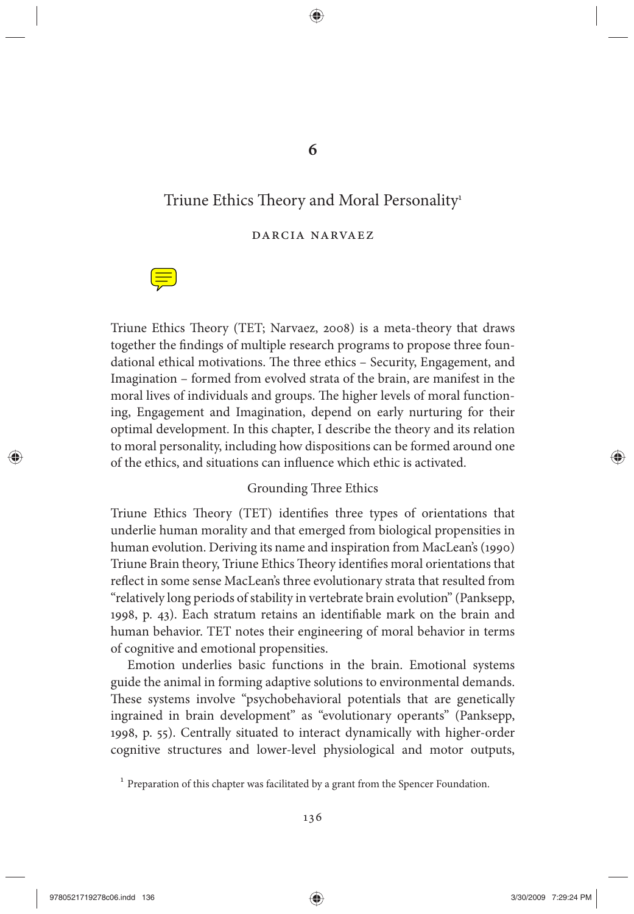**6** 

# Triune Ethics Theory and Moral Personality<sup>1</sup>

## Darcia Narvaez

Triune Ethics Theory (TET; Narvaez, 2008) is a meta-theory that draws together the findings of multiple research programs to propose three foundational ethical motivations. The three ethics - Security, Engagement, and Imagination – formed from evolved strata of the brain, are manifest in the moral lives of individuals and groups. The higher levels of moral functioning, Engagement and Imagination, depend on early nurturing for their optimal development. In this chapter, I describe the theory and its relation to moral personality, including how dispositions can be formed around one of the ethics, and situations can influence which ethic is activated.

## Grounding Three Ethics

Triune Ethics Theory (TET) identifies three types of orientations that underlie human morality and that emerged from biological propensities in human evolution. Deriving its name and inspiration from MacLean's (1990) Triune Brain theory, Triune Ethics Theory identifies moral orientations that reflect in some sense MacLean's three evolutionary strata that resulted from "relatively long periods of stability in vertebrate brain evolution" (Panksepp, 1998, p. 43). Each stratum retains an identifiable mark on the brain and human behavior. TET notes their engineering of moral behavior in terms of cognitive and emotional propensities.

 Emotion underlies basic functions in the brain. Emotional systems guide the animal in forming adaptive solutions to environmental demands. These systems involve "psychobehavioral potentials that are genetically ingrained in brain development" as "evolutionary operants" (Panksepp, 1998, p. 55). Centrally situated to interact dynamically with higher-order cognitive structures and lower-level physiological and motor outputs,

⊕

 $1$  Preparation of this chapter was facilitated by a grant from the Spencer Foundation.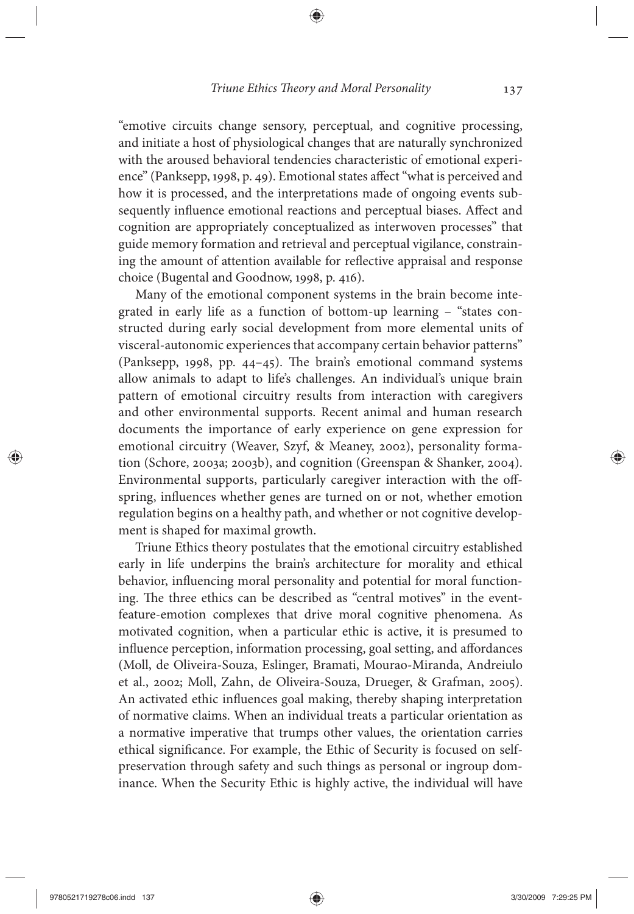"emotive circuits change sensory, perceptual, and cognitive processing, and initiate a host of physiological changes that are naturally synchronized with the aroused behavioral tendencies characteristic of emotional experience" (Panksepp, 1998, p. 49). Emotional states affect "what is perceived and how it is processed, and the interpretations made of ongoing events subsequently influence emotional reactions and perceptual biases. Affect and cognition are appropriately conceptualized as interwoven processes" that guide memory formation and retrieval and perceptual vigilance, constraining the amount of attention available for reflective appraisal and response choice (Bugental and Goodnow, 1998, p. 416).

 Many of the emotional component systems in the brain become integrated in early life as a function of bottom-up learning – "states constructed during early social development from more elemental units of visceral- autonomic experiences that accompany certain behavior patterns" (Panksepp, 1998, pp. 44–45). The brain's emotional command systems allow animals to adapt to life's challenges. An individual's unique brain pattern of emotional circuitry results from interaction with caregivers and other environmental supports. Recent animal and human research documents the importance of early experience on gene expression for emotional circuitry (Weaver, Szyf, & Meaney, 2002), personality formation (Schore, 2003a; 2003b), and cognition (Greenspan & Shanker, 2004). Environmental supports, particularly caregiver interaction with the offspring, influences whether genes are turned on or not, whether emotion regulation begins on a healthy path, and whether or not cognitive development is shaped for maximal growth.

 Triune Ethics theory postulates that the emotional circuitry established early in life underpins the brain's architecture for morality and ethical behavior, influencing moral personality and potential for moral functioning. The three ethics can be described as "central motives" in the eventfeature-emotion complexes that drive moral cognitive phenomena. As motivated cognition, when a particular ethic is active, it is presumed to influence perception, information processing, goal setting, and affordances (Moll, de Oliveira-Souza, Eslinger, Bramati, Mourao-Miranda, Andreiulo et al., 2002; Moll, Zahn, de Oliveira-Souza, Drueger, & Grafman, 2005). An activated ethic influences goal making, thereby shaping interpretation of normative claims. When an individual treats a particular orientation as a normative imperative that trumps other values, the orientation carries ethical significance. For example, the Ethic of Security is focused on selfpreservation through safety and such things as personal or ingroup dominance. When the Security Ethic is highly active, the individual will have

9780521719278c06.indd 137 3/30/2009 7:29:25 PM  $\bigoplus$  3/30/2009 7:29:25 PM 3/30/2009 7:29:25 PM

◈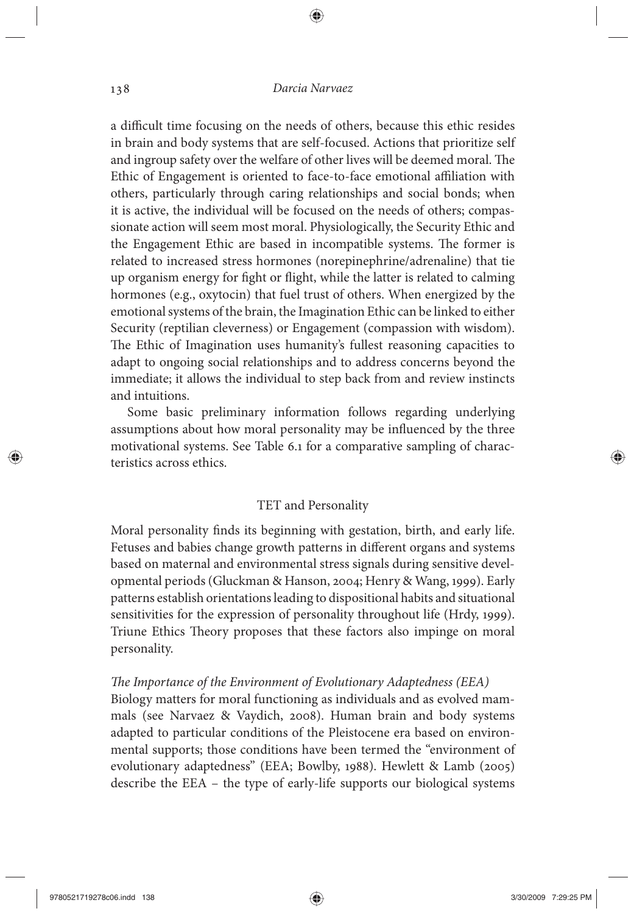⊕

a difficult time focusing on the needs of others, because this ethic resides in brain and body systems that are self-focused. Actions that prioritize self and ingroup safety over the welfare of other lives will be deemed moral. The Ethic of Engagement is oriented to face-to-face emotional affiliation with others, particularly through caring relationships and social bonds; when it is active, the individual will be focused on the needs of others; compassionate action will seem most moral. Physiologically, the Security Ethic and the Engagement Ethic are based in incompatible systems. The former is related to increased stress hormones (norepinephrine/adrenaline) that tie up organism energy for fight or flight, while the latter is related to calming hormones (e.g., oxytocin) that fuel trust of others. When energized by the emotional systems of the brain, the Imagination Ethic can be linked to either Security (reptilian cleverness) or Engagement (compassion with wisdom). The Ethic of Imagination uses humanity's fullest reasoning capacities to adapt to ongoing social relationships and to address concerns beyond the immediate; it allows the individual to step back from and review instincts and intuitions.

 Some basic preliminary information follows regarding underlying assumptions about how moral personality may be influenced by the three motivational systems. See Table 6.1 for a comparative sampling of characteristics across ethics.

## TET and Personality

Moral personality finds its beginning with gestation, birth, and early life. Fetuses and babies change growth patterns in different organs and systems based on maternal and environmental stress signals during sensitive developmental periods (Gluckman & Hanson, 2004; Henry & Wang, 1999). Early patterns establish orientations leading to dispositional habits and situational sensitivities for the expression of personality throughout life (Hrdy, 1999). Triune Ethics Theory proposes that these factors also impinge on moral personality.

## *The Importance of the Environment of Evolutionary Adaptedness (EEA)*

 Biology matters for moral functioning as individuals and as evolved mammals (see Narvaez & Vaydich, 2008). Human brain and body systems adapted to particular conditions of the Pleistocene era based on environmental supports; those conditions have been termed the "environment of evolutionary adaptedness" (EEA; Bowlby, 1988). Hewlett & Lamb (2005) describe the EEA – the type of early-life supports our biological systems

◈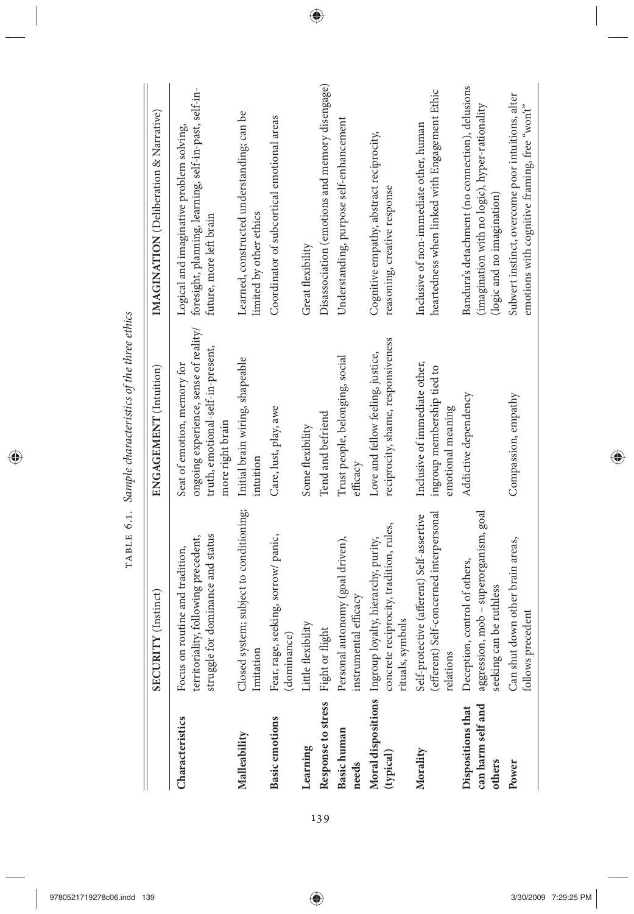|                                                  | SECURITY (Instinct)                                                                                                   | ENGAGEMENT (Intuition)                                                                                                        | IMAGINATION (Deliberation & Narrative)                                                                                          |
|--------------------------------------------------|-----------------------------------------------------------------------------------------------------------------------|-------------------------------------------------------------------------------------------------------------------------------|---------------------------------------------------------------------------------------------------------------------------------|
| Characteristics                                  | struggle for dominance and status<br>territoriality, following precedent,<br>Focus on routine and tradition,          | ongoing experience, sense of reality/<br>truth, emotional-self-in-present,<br>Seat of emotion, memory for<br>more right brain | foresight, planning, learning, self-in-past, self-in-<br>Logical and imaginative problem solving,<br>future, more left brain    |
| Malleability                                     | Closed system; subject to conditioning;<br>Imitation                                                                  | Initial brain wiring, shapeable<br>intuition                                                                                  | Learned, constructed understanding; can be<br>limited by other ethics                                                           |
| Basic emotions                                   | Fear, rage, seeking, sorrow/ panic,<br>(dominance)                                                                    | Care, lust, play, awe                                                                                                         | Coordinator of subcortical emotional areas                                                                                      |
| Learning                                         | Little flexibility                                                                                                    | Some flexibility                                                                                                              | Great flexibility                                                                                                               |
| Response to stress                               | Fight or flight                                                                                                       | Tend and befriend                                                                                                             | Disassociation (emotions and memory disengage)                                                                                  |
| Basic human<br>needs                             | Personal autonomy (goal driven),<br>instrumental efficacy                                                             | Trust people, belonging, social<br>efficacy                                                                                   | Understanding, purpose self-enhancement                                                                                         |
| (typical)                                        | concrete reciprocity, tradition, rules,<br>Moral dispositions Ingroup loyalty, hierarchy, purity,<br>rituals, symbols | reciprocity, shame, responsiveness<br>Love and fellow feeling, justice,                                                       | Cognitive empathy, abstract reciprocity,<br>reasoning, creative response                                                        |
| Morality                                         | (efferent) Self-concerned interpersonal<br>Self-protective (afferent) Self-assertive<br>relation                      | Inclusive of immediate other,<br>ingroup membership tied to<br>emotional meaning                                              | heartedness when linked with Engagement Ethic<br>Inclusive of non-immediate other, human                                        |
| can harm self and<br>Dispositions that<br>others | aggression, mob - superorganism, goal<br>Deception, control of others,<br>seeking can be ruthless                     | Addictive dependency                                                                                                          | Bandura's detachment (no connection), delusions<br>(imagination with no logic), hyper-rationality<br>(logic and no imagination) |
| Power                                            | Can shut down other brain areas,<br>follows precedent                                                                 | Compassion, empathy                                                                                                           | Subvert instinct, overcome poor intuitions, alter<br>emotions with cognitive framing, free "won't"                              |

TABLE 6.1. Sample characteristics of the three ethics Table 6.1. *Sample characteristics of the three ethics* 

 $\Bigg\}$ 

 $\bigoplus$ 

139

 $\bigoplus$ 

 $\bigoplus$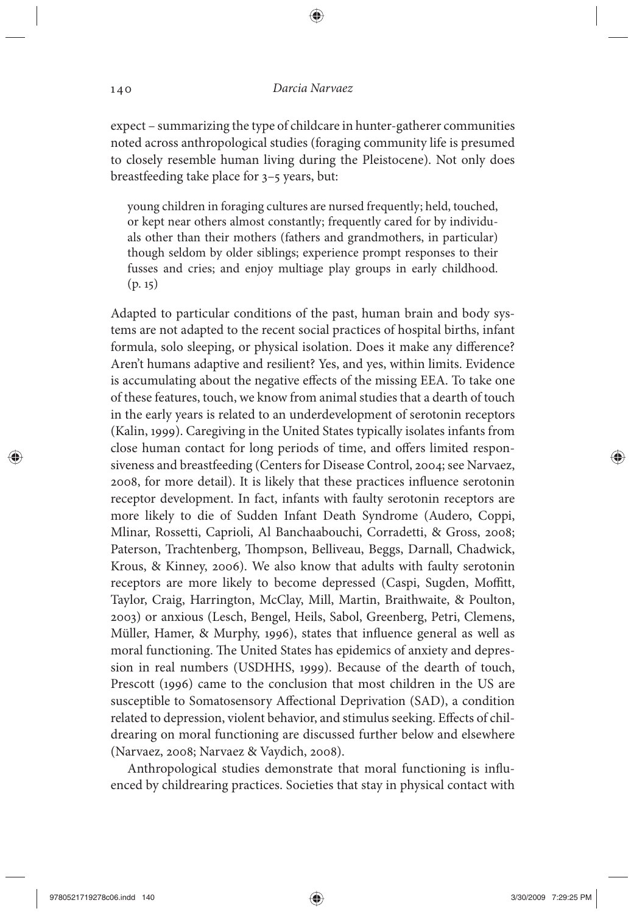⊕

expect – summarizing the type of childcare in hunter-gatherer communities noted across anthropological studies (foraging community life is presumed to closely resemble human living during the Pleistocene). Not only does breastfeeding take place for 3–5 years, but:

 young children in foraging cultures are nursed frequently; held, touched, or kept near others almost constantly; frequently cared for by individuals other than their mothers (fathers and grandmothers, in particular) though seldom by older siblings; experience prompt responses to their fusses and cries; and enjoy multiage play groups in early childhood.  $(p. 15)$ 

Adapted to particular conditions of the past, human brain and body systems are not adapted to the recent social practices of hospital births, infant formula, solo sleeping, or physical isolation. Does it make any difference? Aren't humans adaptive and resilient? Yes, and yes, within limits. Evidence is accumulating about the negative effects of the missing EEA. To take one of these features, touch, we know from animal studies that a dearth of touch in the early years is related to an underdevelopment of serotonin receptors (Kalin, 1999 ). Caregiving in the United States typically isolates infants from close human contact for long periods of time, and offers limited responsiveness and breastfeeding (Centers for Disease Control, 2004; see Narvaez, 2008, for more detail). It is likely that these practices influence serotonin receptor development. In fact, infants with faulty serotonin receptors are more likely to die of Sudden Infant Death Syndrome (Audero, Coppi, Mlinar, Rossetti, Caprioli, Al Banchaabouchi, Corradetti, & Gross, 2008; Paterson, Trachtenberg, Thompson, Belliveau, Beggs, Darnall, Chadwick, Krous, & Kinney, 2006). We also know that adults with faulty serotonin receptors are more likely to become depressed (Caspi, Sugden, Moffitt, Taylor, Craig, Harrington, McClay, Mill, Martin, Braithwaite, & Poulton, 2003 ) or anxious (Lesch, Bengel, Heils, Sabol, Greenberg, Petri, Clemens, Müller, Hamer, & Murphy, 1996), states that influence general as well as moral functioning. The United States has epidemics of anxiety and depression in real numbers (USDHHS, 1999). Because of the dearth of touch, Prescott (1996) came to the conclusion that most children in the US are susceptible to Somatosensory Affectional Deprivation (SAD), a condition related to depression, violent behavior, and stimulus seeking. Effects of childrearing on moral functioning are discussed further below and elsewhere (Narvaez, 2008; Narvaez & Vaydich, 2008).

Anthropological studies demonstrate that moral functioning is influenced by childrearing practices. Societies that stay in physical contact with

⊕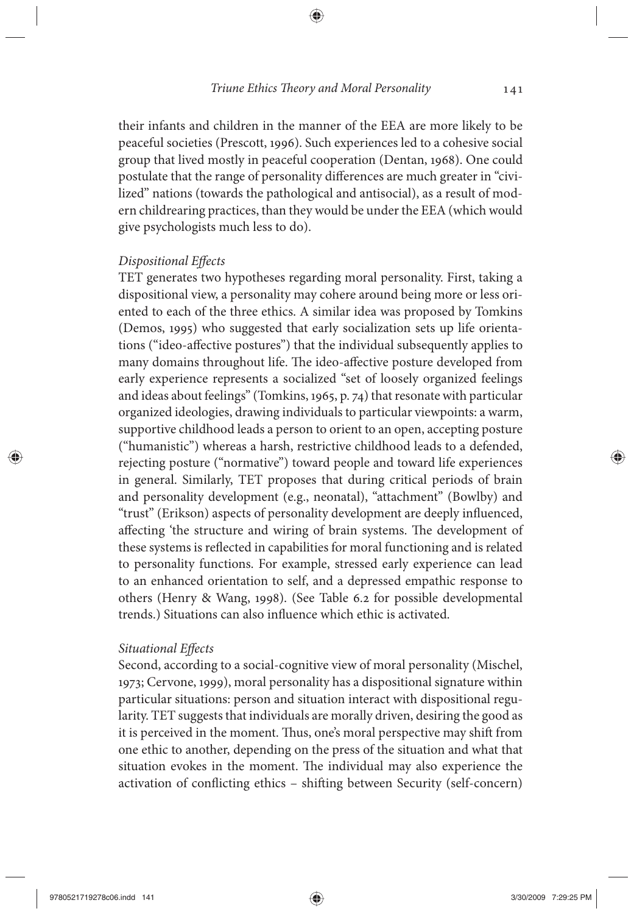their infants and children in the manner of the EEA are more likely to be peaceful societies (Prescott, 1996). Such experiences led to a cohesive social group that lived mostly in peaceful cooperation (Dentan, 1968 ). One could postulate that the range of personality differences are much greater in "civilized" nations (towards the pathological and antisocial), as a result of modern childrearing practices, than they would be under the EEA (which would give psychologists much less to do).

## *Dispositional Eff ects*

 TET generates two hypotheses regarding moral personality. First, taking a dispositional view, a personality may cohere around being more or less oriented to each of the three ethics. A similar idea was proposed by Tomkins (Demos, 1995) who suggested that early socialization sets up life orientations ("ideo-affective postures") that the individual subsequently applies to many domains throughout life. The ideo-affective posture developed from early experience represents a socialized "set of loosely organized feelings and ideas about feelings" (Tomkins, 1965, p. 74) that resonate with particular organized ideologies, drawing individuals to particular viewpoints: a warm, supportive childhood leads a person to orient to an open, accepting posture ("humanistic") whereas a harsh, restrictive childhood leads to a defended, rejecting posture ("normative") toward people and toward life experiences in general. Similarly, TET proposes that during critical periods of brain and personality development (e.g., neonatal), "attachment" (Bowlby) and "trust" (Erikson) aspects of personality development are deeply influenced, affecting 'the structure and wiring of brain systems. The development of these systems is reflected in capabilities for moral functioning and is related to personality functions. For example, stressed early experience can lead to an enhanced orientation to self, and a depressed empathic response to others (Henry & Wang, 1998). (See Table 6.2 for possible developmental trends.) Situations can also influence which ethic is activated.

## *Situational Effects*

 Second, according to a social-cognitive view of moral personality (Mischel, 1973 ; Cervone, 1999 ), moral personality has a dispositional signature within particular situations: person and situation interact with dispositional regularity. TET suggests that individuals are morally driven, desiring the good as it is perceived in the moment. Thus, one's moral perspective may shift from one ethic to another, depending on the press of the situation and what that situation evokes in the moment. The individual may also experience the activation of conflicting ethics - shifting between Security (self-concern)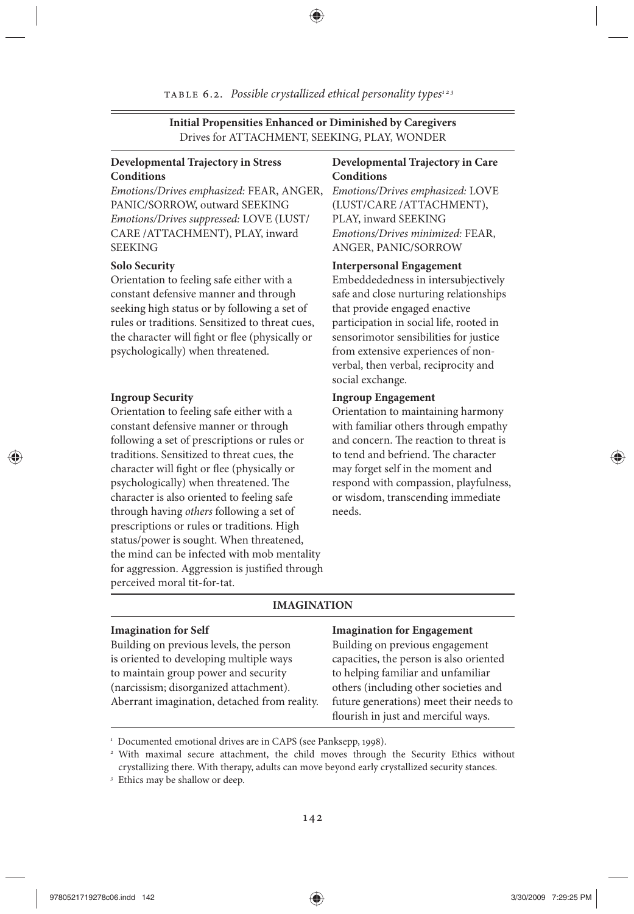TABLE 6.2. *Possible crystallized ethical personality types<sup>123</sup>* 

**Initial Propensities Enhanced or Diminished by Caregivers** Drives for ATTACHMENT, SEEKING, PLAY, WONDER

## **Developmental Trajectory in Stress Conditions**

*Emotions/Drives emphasized:* FEAR, ANGER, *Emotions/Drives emphasized:* LOVE PANIC/SORROW, outward SEEKING *Emotions/Drives suppressed:* LOVE (LUST/ CARE /ATTACHMENT), PLAY, inward **SEEKING** 

### **Solo Security**

Orientation to feeling safe either with a constant defensive manner and through seeking high status or by following a set of rules or traditions. Sensitized to threat cues, the character will fight or flee (physically or psychologically) when threatened.

#### **Ingroup Security**

Orientation to feeling safe either with a constant defensive manner or through following a set of prescriptions or rules or traditions. Sensitized to threat cues, the character will fight or flee (physically or psychologically) when threatened. The character is also oriented to feeling safe through having *others* following a set of prescriptions or rules or traditions. High status/power is sought. When threatened, the mind can be infected with mob mentality for aggression. Aggression is justified through perceived moral tit-for-tat.

## **Developmental Trajectory in Care Conditions**

(LUST/CARE /ATTACHMENT), PLAY, inward SEEKING *Emotions/Drives minimized:* FEAR, ANGER, PANIC/SORROW

## **Interpersonal Engagement**

Embeddededness in intersubjectively safe and close nurturing relationships that provide engaged enactive participation in social life, rooted in sensorimotor sensibilities for justice from extensive experiences of nonverbal, then verbal, reciprocity and social exchange.

### **Ingroup Engagement**

Orientation to maintaining harmony with familiar others through empathy and concern. The reaction to threat is to tend and befriend. The character may forget self in the moment and respond with compassion, playfulness, or wisdom, transcending immediate needs.

#### **IMAGINATION**

#### **Imagination for Self**

Building on previous levels, the person is oriented to developing multiple ways to maintain group power and security (narcissism; disorganized attachment). Aberrant imagination, detached from reality.

#### **Imagination for Engagement**

Building on previous engagement capacities, the person is also oriented to helping familiar and unfamiliar others (including other societies and future generations) meet their needs to flourish in just and merciful ways.

<sup>&</sup>lt;sup>1</sup> Documented emotional drives are in CAPS (see Panksepp, 1998).

<sup>&</sup>lt;sup>2</sup> With maximal secure attachment, the child moves through the Security Ethics without crystallizing there. With therapy, adults can move beyond early crystallized security stances.

<sup>&</sup>lt;sup>3</sup> Ethics may be shallow or deep.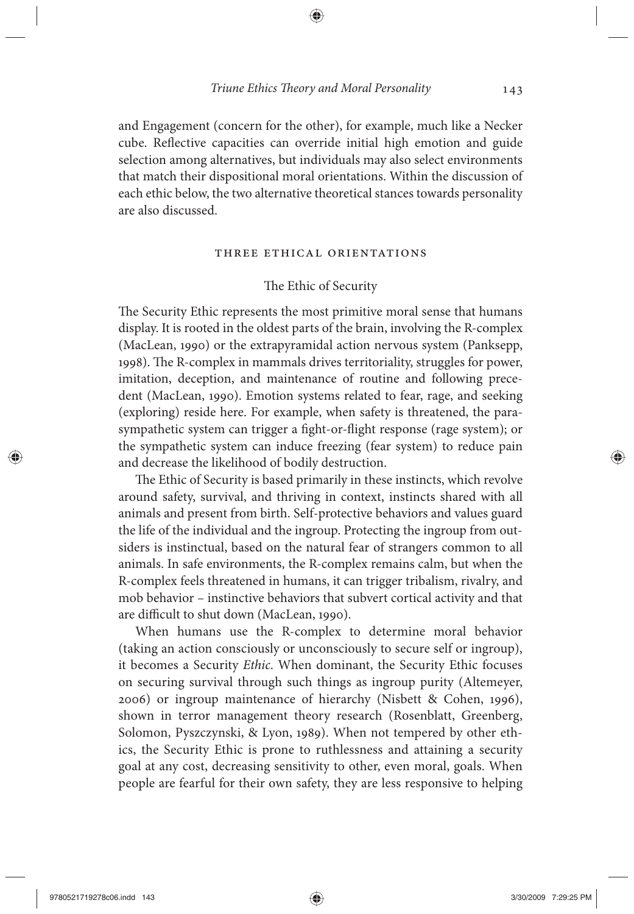and Engagement (concern for the other), for example, much like a Necker cube. Reflective capacities can override initial high emotion and guide selection among alternatives, but individuals may also select environments that match their dispositional moral orientations. Within the discussion of each ethic below, the two alternative theoretical stances towards personality are also discussed.

### Three Ethical Orientations

## The Ethic of Security

The Security Ethic represents the most primitive moral sense that humans display. It is rooted in the oldest parts of the brain, involving the R-complex (MacLean, 1990) or the extrapyramidal action nervous system (Panksepp, 1998). The R-complex in mammals drives territoriality, struggles for power, imitation, deception, and maintenance of routine and following precedent (MacLean, 1990). Emotion systems related to fear, rage, and seeking (exploring) reside here. For example, when safety is threatened, the parasympathetic system can trigger a fight-or-flight response (rage system); or the sympathetic system can induce freezing (fear system) to reduce pain and decrease the likelihood of bodily destruction.

The Ethic of Security is based primarily in these instincts, which revolve around safety, survival, and thriving in context, instincts shared with all animals and present from birth. Self-protective behaviors and values guard the life of the individual and the ingroup. Protecting the ingroup from outsiders is instinctual, based on the natural fear of strangers common to all animals. In safe environments, the R-complex remains calm, but when the R-complex feels threatened in humans, it can trigger tribalism, rivalry, and mob behavior – instinctive behaviors that subvert cortical activity and that are difficult to shut down (MacLean, 1990).

 When humans use the R-complex to determine moral behavior (taking an action consciously or unconsciously to secure self or ingroup), it becomes a Security *Ethic* . When dominant, the Security Ethic focuses on securing survival through such things as ingroup purity (Altemeyer, 2006) or ingroup maintenance of hierarchy (Nisbett & Cohen, 1996), shown in terror management theory research (Rosenblatt, Greenberg, Solomon, Pyszczynski, & Lyon, 1989 ). When not tempered by other ethics, the Security Ethic is prone to ruthlessness and attaining a security goal at any cost, decreasing sensitivity to other, even moral, goals. When people are fearful for their own safety, they are less responsive to helping

◈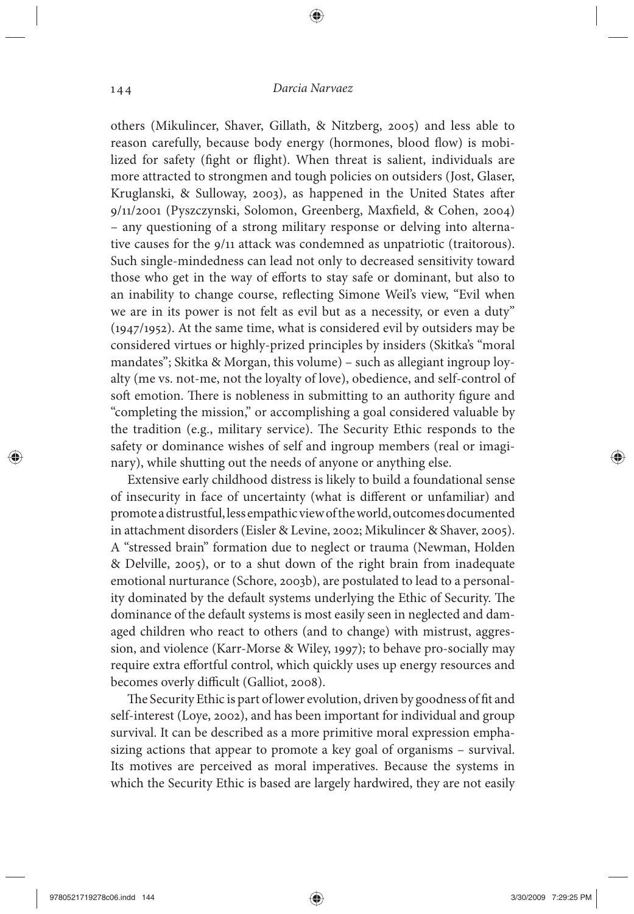others (Mikulincer, Shaver, Gillath, & Nitzberg, 2005) and less able to reason carefully, because body energy (hormones, blood flow) is mobilized for safety (fight or flight). When threat is salient, individuals are more attracted to strongmen and tough policies on outsiders (Jost, Glaser, Kruglanski, & Sulloway, 2003), as happened in the United States after 9/11/2001 (Pyszczynski, Solomon, Greenberg, Maxfield, & Cohen, 2004) – any questioning of a strong military response or delving into alternative causes for the 9/11 attack was condemned as unpatriotic (traitorous). Such single-mindedness can lead not only to decreased sensitivity toward those who get in the way of efforts to stay safe or dominant, but also to an inability to change course, reflecting Simone Weil's view, "Evil when we are in its power is not felt as evil but as a necessity, or even a duty" (1947/1952). At the same time, what is considered evil by outsiders may be considered virtues or highly-prized principles by insiders (Skitka's "moral mandates"; Skitka & Morgan, this volume) – such as allegiant ingroup loyalty (me vs. not-me, not the loyalty of love), obedience, and self-control of soft emotion. There is nobleness in submitting to an authority figure and "completing the mission," or accomplishing a goal considered valuable by the tradition (e.g., military service). The Security Ethic responds to the safety or dominance wishes of self and ingroup members (real or imaginary), while shutting out the needs of anyone or anything else.

 Extensive early childhood distress is likely to build a foundational sense of insecurity in face of uncertainty (what is different or unfamiliar) and promote a distrustful, less empathic view of the world, outcomes documented in attachment disorders (Eisler & Levine, 2002; Mikulincer & Shaver, 2005). A "stressed brain" formation due to neglect or trauma (Newman, Holden & Delville, 2005), or to a shut down of the right brain from inadequate emotional nurturance (Schore, 2003b), are postulated to lead to a personality dominated by the default systems underlying the Ethic of Security. The dominance of the default systems is most easily seen in neglected and damaged children who react to others (and to change) with mistrust, aggression, and violence (Karr-Morse & Wiley, 1997); to behave pro-socially may require extra effortful control, which quickly uses up energy resources and becomes overly difficult (Galliot, 2008).

The Security Ethic is part of lower evolution, driven by goodness of fit and self-interest (Loye, 2002), and has been important for individual and group survival. It can be described as a more primitive moral expression emphasizing actions that appear to promote a key goal of organisms – survival. Its motives are perceived as moral imperatives. Because the systems in which the Security Ethic is based are largely hardwired, they are not easily

⊕

↔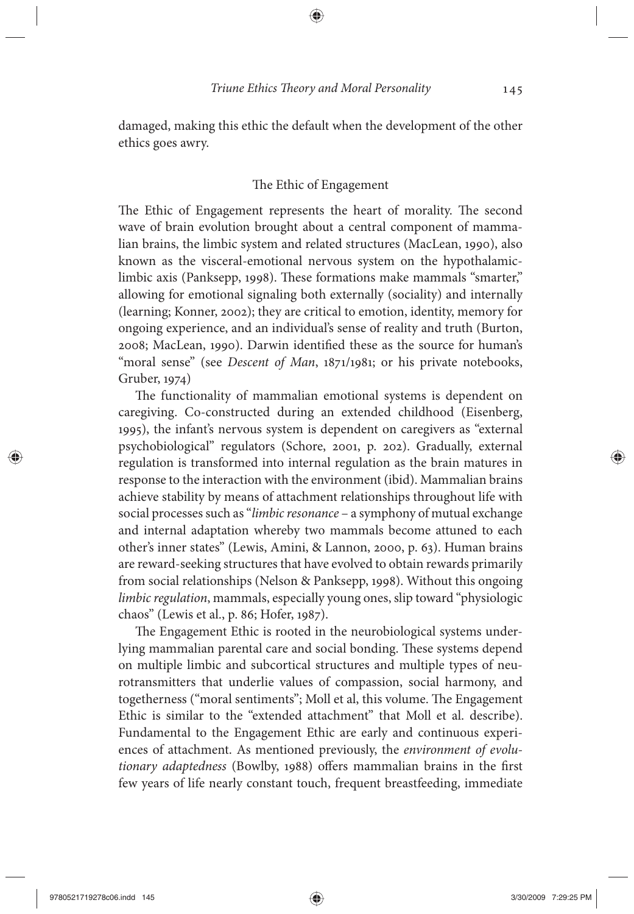damaged, making this ethic the default when the development of the other ethics goes awry.

## The Ethic of Engagement

The Ethic of Engagement represents the heart of morality. The second wave of brain evolution brought about a central component of mammalian brains, the limbic system and related structures (MacLean, 1990), also known as the visceral-emotional nervous system on the hypothalamiclimbic axis (Panksepp, 1998). These formations make mammals "smarter," allowing for emotional signaling both externally (sociality) and internally (learning; Konner, 2002 ); they are critical to emotion, identity, memory for ongoing experience, and an individual's sense of reality and truth (Burton, 2008; MacLean, 1990). Darwin identified these as the source for human's "moral sense" (see *Descent of Man*, 1871/1981; or his private notebooks, Gruber, 1974 )

The functionality of mammalian emotional systems is dependent on caregiving. Co-constructed during an extended childhood (Eisenberg, 1995 ), the infant's nervous system is dependent on caregivers as "external psychobiological" regulators (Schore, 2001, p. 202). Gradually, external regulation is transformed into internal regulation as the brain matures in response to the interaction with the environment (ibid). Mammalian brains achieve stability by means of attachment relationships throughout life with social processes such as " *limbic resonance* – a symphony of mutual exchange and internal adaptation whereby two mammals become attuned to each other's inner states" (Lewis, Amini, & Lannon, 2000, p. 63). Human brains are reward-seeking structures that have evolved to obtain rewards primarily from social relationships (Nelson & Panksepp, 1998). Without this ongoing *limbic regulation* , mammals, especially young ones, slip toward "physiologic chaos" (Lewis et al., p. 86; Hofer, 1987 ).

The Engagement Ethic is rooted in the neurobiological systems underlying mammalian parental care and social bonding. These systems depend on multiple limbic and subcortical structures and multiple types of neurotransmitters that underlie values of compassion, social harmony, and togetherness ("moral sentiments"; Moll et al, this volume. The Engagement Ethic is similar to the "extended attachment" that Moll et al. describe). Fundamental to the Engagement Ethic are early and continuous experiences of attachment. As mentioned previously, the *environment of evolutionary adaptedness* (Bowlby, 1988) offers mammalian brains in the first few years of life nearly constant touch, frequent breastfeeding, immediate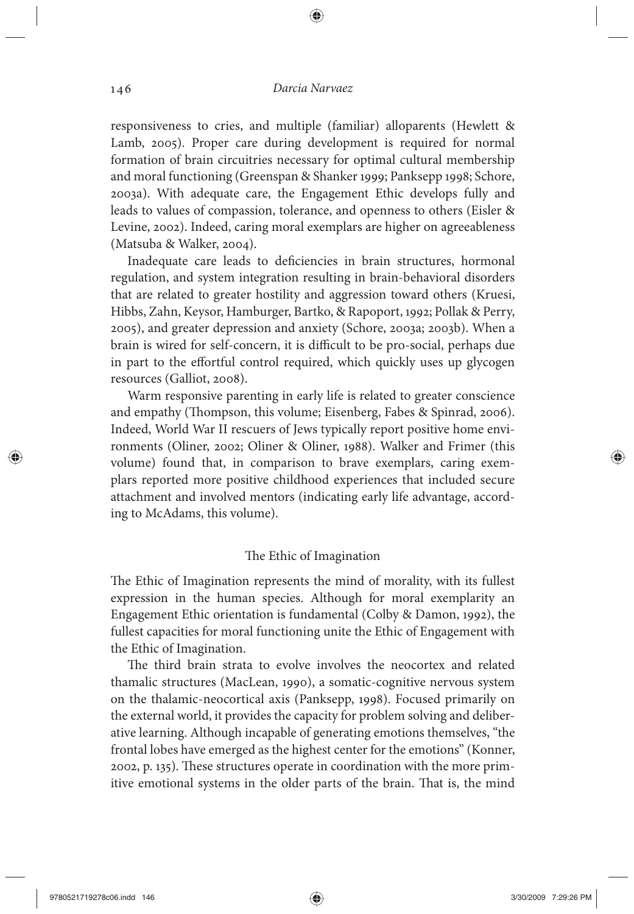⊕

responsiveness to cries, and multiple (familiar) alloparents (Hewlett & Lamb, 2005). Proper care during development is required for normal formation of brain circuitries necessary for optimal cultural membership and moral functioning (Greenspan & Shanker 1999; Panksepp 1998; Schore, 2003a). With adequate care, the Engagement Ethic develops fully and leads to values of compassion, tolerance, and openness to others (Eisler & Levine, 2002). Indeed, caring moral exemplars are higher on agreeableness (Matsuba & Walker, 2004).

Inadequate care leads to deficiencies in brain structures, hormonal regulation, and system integration resulting in brain-behavioral disorders that are related to greater hostility and aggression toward others (Kruesi, Hibbs, Zahn, Keysor, Hamburger, Bartko, & Rapoport, 1992; Pollak & Perry, 2005 ), and greater depression and anxiety (Schore, 2003a; 2003b). When a brain is wired for self-concern, it is difficult to be pro-social, perhaps due in part to the effortful control required, which quickly uses up glycogen resources (Galliot, 2008).

 Warm responsive parenting in early life is related to greater conscience and empathy (Thompson, this volume; Eisenberg, Fabes & Spinrad, 2006). Indeed, World War II rescuers of Jews typically report positive home environments (Oliner, 2002; Oliner & Oliner, 1988). Walker and Frimer (this volume) found that, in comparison to brave exemplars, caring exemplars reported more positive childhood experiences that included secure attachment and involved mentors (indicating early life advantage, according to McAdams, this volume).

## The Ethic of Imagination

The Ethic of Imagination represents the mind of morality, with its fullest expression in the human species. Although for moral exemplarity an Engagement Ethic orientation is fundamental (Colby & Damon, 1992), the fullest capacities for moral functioning unite the Ethic of Engagement with the Ethic of Imagination.

The third brain strata to evolve involves the neocortex and related thamalic structures (MacLean, 1990 ), a somatic-cognitive nervous system on the thalamic-neocortical axis (Panksepp, 1998). Focused primarily on the external world, it provides the capacity for problem solving and deliberative learning. Although incapable of generating emotions themselves, "the frontal lobes have emerged as the highest center for the emotions" (Konner, 2002, p. 135). These structures operate in coordination with the more primitive emotional systems in the older parts of the brain. That is, the mind

⊕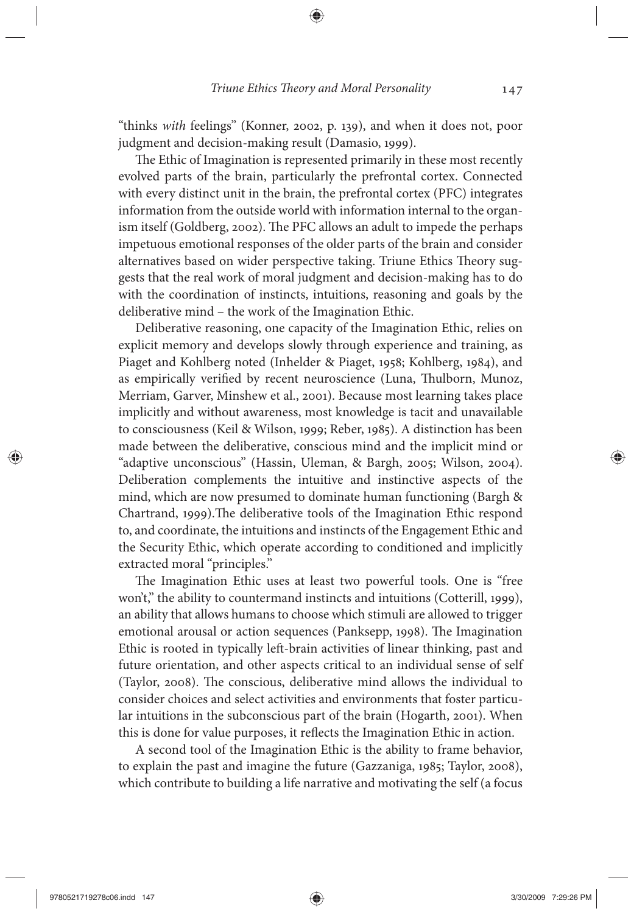"thinks *with* feelings" (Konner, 2002, p. 139), and when it does not, poor judgment and decision-making result (Damasio, 1999).

The Ethic of Imagination is represented primarily in these most recently evolved parts of the brain, particularly the prefrontal cortex. Connected with every distinct unit in the brain, the prefrontal cortex (PFC) integrates information from the outside world with information internal to the organism itself (Goldberg, 2002). The PFC allows an adult to impede the perhaps impetuous emotional responses of the older parts of the brain and consider alternatives based on wider perspective taking. Triune Ethics Theory suggests that the real work of moral judgment and decision-making has to do with the coordination of instincts, intuitions, reasoning and goals by the deliberative mind – the work of the Imagination Ethic.

 Deliberative reasoning, one capacity of the Imagination Ethic, relies on explicit memory and develops slowly through experience and training, as Piaget and Kohlberg noted (Inhelder & Piaget, 1958; Kohlberg, 1984), and as empirically verified by recent neuroscience (Luna, Thulborn, Munoz, Merriam, Garver, Minshew et al., 2001). Because most learning takes place implicitly and without awareness, most knowledge is tacit and unavailable to consciousness (Keil & Wilson, 1999 ; Reber, 1985). A distinction has been made between the deliberative, conscious mind and the implicit mind or "adaptive unconscious" (Hassin, Uleman, & Bargh, 2005; Wilson, 2004). Deliberation complements the intuitive and instinctive aspects of the mind, which are now presumed to dominate human functioning (Bargh & Chartrand, 1999). The deliberative tools of the Imagination Ethic respond to, and coordinate, the intuitions and instincts of the Engagement Ethic and the Security Ethic, which operate according to conditioned and implicitly extracted moral "principles."

The Imagination Ethic uses at least two powerful tools. One is "free won't," the ability to countermand instincts and intuitions (Cotterill, 1999), an ability that allows humans to choose which stimuli are allowed to trigger emotional arousal or action sequences (Panksepp, 1998). The Imagination Ethic is rooted in typically left -brain activities of linear thinking, past and future orientation, and other aspects critical to an individual sense of self (Taylor, 2008). The conscious, deliberative mind allows the individual to consider choices and select activities and environments that foster particular intuitions in the subconscious part of the brain (Hogarth, 2001). When this is done for value purposes, it reflects the Imagination Ethic in action.

 A second tool of the Imagination Ethic is the ability to frame behavior, to explain the past and imagine the future (Gazzaniga, 1985; Taylor, 2008 ), which contribute to building a life narrative and motivating the self (a focus

◈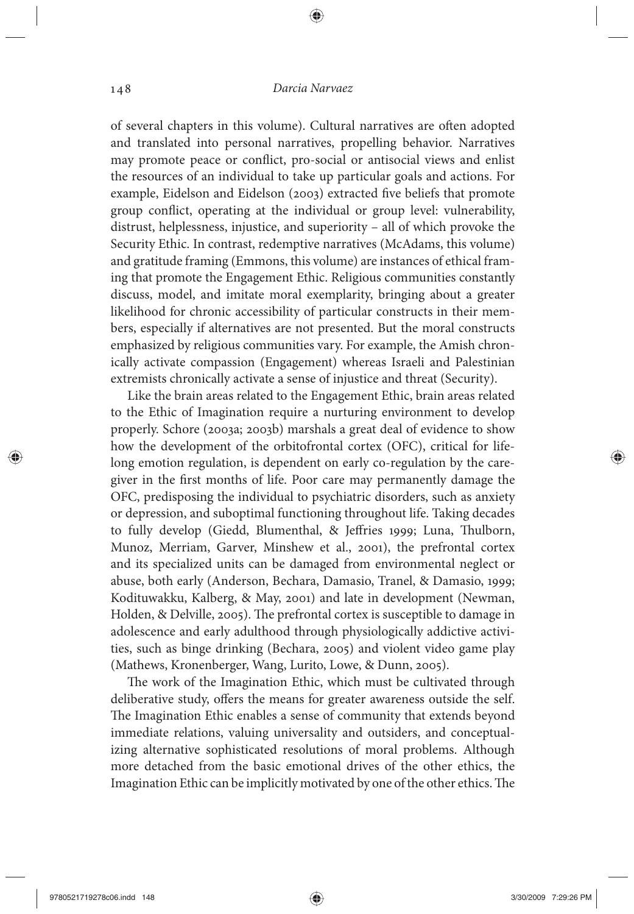♠

of several chapters in this volume). Cultural narratives are often adopted and translated into personal narratives, propelling behavior. Narratives may promote peace or conflict, pro-social or antisocial views and enlist the resources of an individual to take up particular goals and actions. For example, Eidelson and Eidelson (2003) extracted five beliefs that promote group conflict, operating at the individual or group level: vulnerability, distrust, helplessness, injustice, and superiority – all of which provoke the Security Ethic. In contrast, redemptive narratives (McAdams, this volume) and gratitude framing (Emmons, this volume) are instances of ethical framing that promote the Engagement Ethic. Religious communities constantly discuss, model, and imitate moral exemplarity, bringing about a greater likelihood for chronic accessibility of particular constructs in their members, especially if alternatives are not presented. But the moral constructs emphasized by religious communities vary. For example, the Amish chronically activate compassion (Engagement) whereas Israeli and Palestinian extremists chronically activate a sense of injustice and threat (Security).

 Like the brain areas related to the Engagement Ethic, brain areas related to the Ethic of Imagination require a nurturing environment to develop properly. Schore (2003a; 2003b) marshals a great deal of evidence to show how the development of the orbitofrontal cortex (OFC), critical for lifelong emotion regulation, is dependent on early co-regulation by the caregiver in the first months of life. Poor care may permanently damage the OFC, predisposing the individual to psychiatric disorders, such as anxiety or depression, and suboptimal functioning throughout life. Taking decades to fully develop (Giedd, Blumenthal, & Jeffries 1999; Luna, Thulborn, Munoz, Merriam, Garver, Minshew et al., 2001), the prefrontal cortex and its specialized units can be damaged from environmental neglect or abuse, both early (Anderson, Bechara, Damasio, Tranel, & Damasio, 1999; Kodituwakku, Kalberg, & May, 2001) and late in development (Newman, Holden, & Delville, 2005). The prefrontal cortex is susceptible to damage in adolescence and early adulthood through physiologically addictive activities, such as binge drinking (Bechara, 2005) and violent video game play (Mathews, Kronenberger, Wang, Lurito, Lowe, & Dunn, 2005).

The work of the Imagination Ethic, which must be cultivated through deliberative study, offers the means for greater awareness outside the self. The Imagination Ethic enables a sense of community that extends beyond immediate relations, valuing universality and outsiders, and conceptualizing alternative sophisticated resolutions of moral problems. Although more detached from the basic emotional drives of the other ethics, the Imagination Ethic can be implicitly motivated by one of the other ethics. The

⊕

↔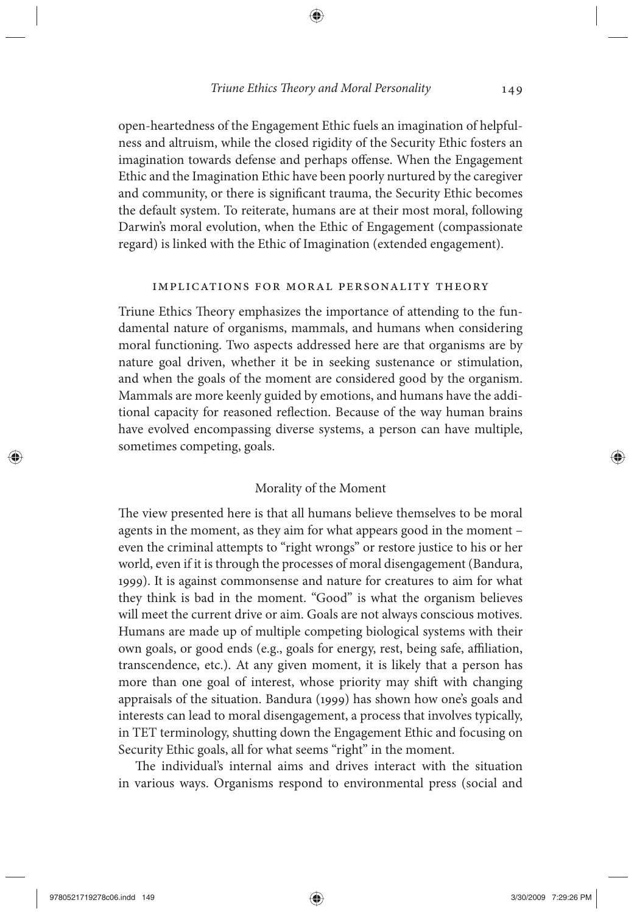open-heartedness of the Engagement Ethic fuels an imagination of helpfulness and altruism, while the closed rigidity of the Security Ethic fosters an imagination towards defense and perhaps offense. When the Engagement Ethic and the Imagination Ethic have been poorly nurtured by the caregiver and community, or there is significant trauma, the Security Ethic becomes the default system. To reiterate, humans are at their most moral, following Darwin's moral evolution, when the Ethic of Engagement (compassionate regard) is linked with the Ethic of Imagination (extended engagement).

## Implications for Moral Personality Theory

Triune Ethics Theory emphasizes the importance of attending to the fundamental nature of organisms, mammals, and humans when considering moral functioning. Two aspects addressed here are that organisms are by nature goal driven, whether it be in seeking sustenance or stimulation, and when the goals of the moment are considered good by the organism. Mammals are more keenly guided by emotions, and humans have the additional capacity for reasoned reflection. Because of the way human brains have evolved encompassing diverse systems, a person can have multiple, sometimes competing, goals.

## Morality of the Moment

The view presented here is that all humans believe themselves to be moral agents in the moment, as they aim for what appears good in the moment – even the criminal attempts to "right wrongs" or restore justice to his or her world, even if it is through the processes of moral disengagement (Bandura, 1999 ). It is against commonsense and nature for creatures to aim for what they think is bad in the moment. "Good" is what the organism believes will meet the current drive or aim. Goals are not always conscious motives. Humans are made up of multiple competing biological systems with their own goals, or good ends (e.g., goals for energy, rest, being safe, affiliation, transcendence, etc.). At any given moment, it is likely that a person has more than one goal of interest, whose priority may shift with changing appraisals of the situation. Bandura (1999) has shown how one's goals and interests can lead to moral disengagement, a process that involves typically, in TET terminology, shutting down the Engagement Ethic and focusing on Security Ethic goals, all for what seems "right" in the moment.

The individual's internal aims and drives interact with the situation in various ways. Organisms respond to environmental press (social and

⊕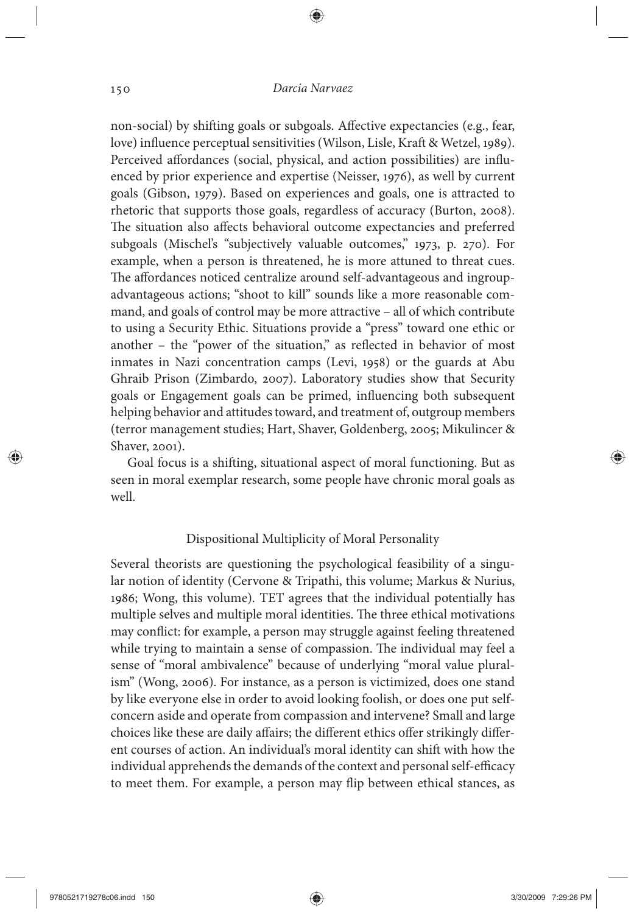⊕

non-social) by shifting goals or subgoals. Affective expectancies (e.g., fear, love) influence perceptual sensitivities (Wilson, Lisle, Kraft & Wetzel, 1989). Perceived affordances (social, physical, and action possibilities) are influenced by prior experience and expertise (Neisser, 1976), as well by current goals (Gibson, 1979 ). Based on experiences and goals, one is attracted to rhetoric that supports those goals, regardless of accuracy (Burton, 2008). The situation also affects behavioral outcome expectancies and preferred subgoals (Mischel's "subjectively valuable outcomes," 1973, p. 270). For example, when a person is threatened, he is more attuned to threat cues. The affordances noticed centralize around self-advantageous and ingroupadvantageous actions; "shoot to kill" sounds like a more reasonable command, and goals of control may be more attractive – all of which contribute to using a Security Ethic. Situations provide a "press" toward one ethic or another – the "power of the situation," as reflected in behavior of most inmates in Nazi concentration camps (Levi, 1958) or the guards at Abu Ghraib Prison (Zimbardo, 2007). Laboratory studies show that Security goals or Engagement goals can be primed, influencing both subsequent helping behavior and attitudes toward, and treatment of, outgroup members (terror management studies; Hart, Shaver, Goldenberg, 2005; Mikulincer & Shaver, 2001).

Goal focus is a shifting, situational aspect of moral functioning. But as seen in moral exemplar research, some people have chronic moral goals as well.

## Dispositional Multiplicity of Moral Personality

 Several theorists are questioning the psychological feasibility of a singular notion of identity (Cervone & Tripathi, this volume; Markus & Nurius, 1986; Wong, this volume). TET agrees that the individual potentially has multiple selves and multiple moral identities. The three ethical motivations may conflict: for example, a person may struggle against feeling threatened while trying to maintain a sense of compassion. The individual may feel a sense of "moral ambivalence" because of underlying "moral value pluralism" (Wong, 2006). For instance, as a person is victimized, does one stand by like everyone else in order to avoid looking foolish, or does one put selfconcern aside and operate from compassion and intervene? Small and large choices like these are daily affairs; the different ethics offer strikingly different courses of action. An individual's moral identity can shift with how the individual apprehends the demands of the context and personal self-efficacy to meet them. For example, a person may flip between ethical stances, as

⊕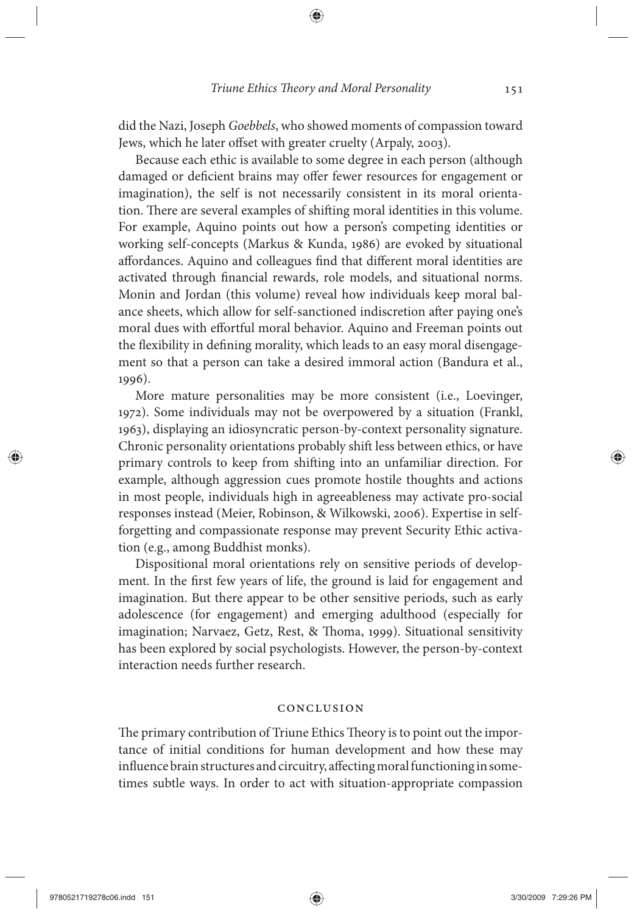did the Nazi, Joseph *Goebbels* , who showed moments of compassion toward Jews, which he later offset with greater cruelty (Arpaly, 2003).

 Because each ethic is available to some degree in each person (although damaged or deficient brains may offer fewer resources for engagement or imagination), the self is not necessarily consistent in its moral orientation. There are several examples of shifting moral identities in this volume. For example, Aquino points out how a person's competing identities or working self-concepts (Markus & Kunda, 1986) are evoked by situational affordances. Aquino and colleagues find that different moral identities are activated through financial rewards, role models, and situational norms. Monin and Jordan (this volume) reveal how individuals keep moral balance sheets, which allow for self-sanctioned indiscretion after paying one's moral dues with effortful moral behavior. Aquino and Freeman points out the flexibility in defining morality, which leads to an easy moral disengagement so that a person can take a desired immoral action (Bandura et al., 1996).

 More mature personalities may be more consistent (i.e., Loevinger, 1972). Some individuals may not be overpowered by a situation (Frankl, 1963 ), displaying an idiosyncratic person-by-context personality signature. Chronic personality orientations probably shift less between ethics, or have primary controls to keep from shifting into an unfamiliar direction. For example, although aggression cues promote hostile thoughts and actions in most people, individuals high in agreeableness may activate pro-social responses instead (Meier, Robinson, & Wilkowski, 2006 ). Expertise in selfforgetting and compassionate response may prevent Security Ethic activation (e.g., among Buddhist monks).

 Dispositional moral orientations rely on sensitive periods of development. In the first few years of life, the ground is laid for engagement and imagination. But there appear to be other sensitive periods, such as early adolescence (for engagement) and emerging adulthood (especially for imagination; Narvaez, Getz, Rest, & Thoma, 1999). Situational sensitivity has been explored by social psychologists. However, the person-by-context interaction needs further research.

## Conclusion

The primary contribution of Triune Ethics Theory is to point out the importance of initial conditions for human development and how these may influence brain structures and circuitry, affecting moral functioning in sometimes subtle ways. In order to act with situation-appropriate compassion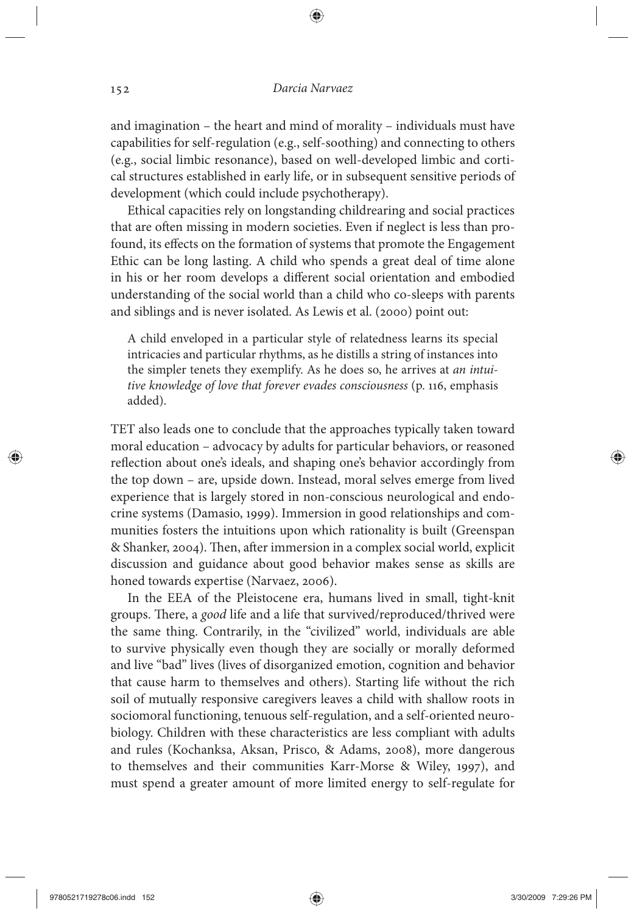and imagination – the heart and mind of morality – individuals must have capabilities for self-regulation (e.g., self-soothing) and connecting to others (e.g., social limbic resonance), based on well-developed limbic and cortical structures established in early life, or in subsequent sensitive periods of development (which could include psychotherapy).

 Ethical capacities rely on longstanding childrearing and social practices that are often missing in modern societies. Even if neglect is less than profound, its effects on the formation of systems that promote the Engagement Ethic can be long lasting. A child who spends a great deal of time alone in his or her room develops a different social orientation and embodied understanding of the social world than a child who co-sleeps with parents and siblings and is never isolated. As Lewis et al. (2000) point out:

 A child enveloped in a particular style of relatedness learns its special intricacies and particular rhythms, as he distills a string of instances into the simpler tenets they exemplify. As he does so, he arrives at *an intuitive knowledge of love that forever evades consciousness* (p. 116, emphasis added).

 TET also leads one to conclude that the approaches typically taken toward moral education – advocacy by adults for particular behaviors, or reasoned reflection about one's ideals, and shaping one's behavior accordingly from the top down – are, upside down. Instead, moral selves emerge from lived experience that is largely stored in non-conscious neurological and endocrine systems (Damasio, 1999 ). Immersion in good relationships and communities fosters the intuitions upon which rationality is built (Greenspan & Shanker, 2004). Then, after immersion in a complex social world, explicit discussion and guidance about good behavior makes sense as skills are honed towards expertise (Narvaez, 2006).

 In the EEA of the Pleistocene era, humans lived in small, tight-knit groups. There, a *good* life and a life that survived/reproduced/thrived were the same thing. Contrarily, in the "civilized" world, individuals are able to survive physically even though they are socially or morally deformed and live "bad" lives (lives of disorganized emotion, cognition and behavior that cause harm to themselves and others). Starting life without the rich soil of mutually responsive caregivers leaves a child with shallow roots in sociomoral functioning, tenuous self-regulation, and a self-oriented neurobiology. Children with these characteristics are less compliant with adults and rules (Kochanksa, Aksan, Prisco, & Adams, 2008), more dangerous to themselves and their communities Karr-Morse & Wiley, 1997), and must spend a greater amount of more limited energy to self-regulate for

⊕

↔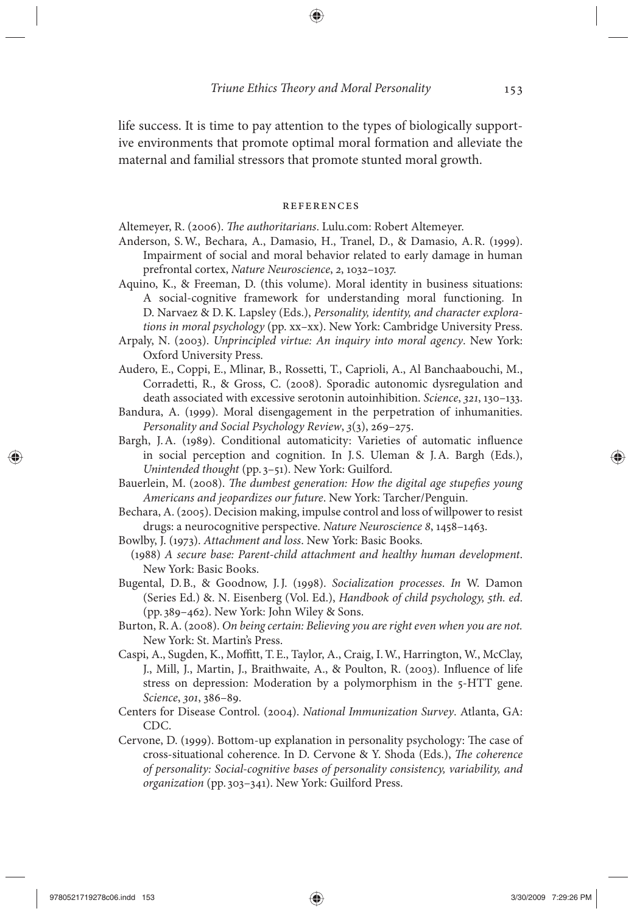life success. It is time to pay attention to the types of biologically supportive environments that promote optimal moral formation and alleviate the maternal and familial stressors that promote stunted moral growth.

## References

Altemeyer, R. (2006). *The authoritarians*. Lulu.com: Robert Altemeyer.

- Anderson, S.W., Bechara, A., Damasio, H., Tranel, D., & Damasio, A.R. (1999). Impairment of social and moral behavior related to early damage in human prefrontal cortex, *Nature Neuroscience*, 2, 1032-1037.
- Aquino, K., & Freeman, D. (this volume). Moral identity in business situations: A social-cognitive framework for understanding moral functioning. In D. Narvaez & D. K. Lapsley (Eds.), *Personality, identity, and character explorations in moral psychology* (pp. xx-xx). New York: Cambridge University Press.
- Arpaly, N. (2003). *Unprincipled virtue: An inquiry into moral agency*. New York: Oxford University Press .
- Audero, E., Coppi, E., Mlinar, B., Rossetti, T., Caprioli, A., Al Banchaabouchi, M., Corradetti, R., & Gross, C. (2008). Sporadic autonomic dysregulation and death associated with excessive serotonin autoinhibition. *Science*, 321, 130-133.
- Bandura, A. (1999). Moral disengagement in the perpetration of inhumanities. *Personality and Social Psychology Review* , *3* (3), 269 –275.
- Bargh, J.A. (1989). Conditional automaticity: Varieties of automatic influence in social perception and cognition. In J.S. Uleman & J.A. Bargh (Eds.), Unintended thought (pp. 3-51). New York: Guilford.
- Bauerlein, M. (2008). *The dumbest generation: How the digital age stupefies young* Americans and jeopardizes our future. New York: Tarcher/Penguin.
- Bechara, A. (2005). Decision making, impulse control and loss of willpower to resist drugs: a neurocognitive perspective . *Nature Neuroscience 8* , 1458 –1463.
- Bowlby, J. (1973). *Attachment and loss*. New York: Basic Books.
- ( 1988 ) *A secure base: Parent-child attachment and healthy human development* . New York: Basic Books.
- Bugental, D.B., & Goodnow, J.J. (1998). *Socialization processes*. In W. Damon (Series Ed.) &. N. Eisenberg (Vol. Ed.), *Handbook of child psychology, 5th. ed* . (pp. 389–462). New York: John Wiley & Sons.
- Burton, R. A. (2008). *On being certain: Believing you are right even when you are not.* New York: St. Martin's Press.
- Caspi, A., Sugden, K., Moffitt, T.E., Taylor, A., Craig, I.W., Harrington, W., McClay, J., Mill, J., Martin, J., Braithwaite, A., & Poulton, R. (2003). Influence of life stress on depression: Moderation by a polymorphism in the 5-HTT gene . *Science* , *301* , 386 –89.
- Centers for Disease Control . ( 2004 ). *National Immunization Survey* . Atlanta, GA : CDC.
- Cervone, D. (1999). Bottom-up explanation in personality psychology: The case of cross-situational coherence. In D. Cervone & Y. Shoda (Eds.), *The coherence of personality: Social-cognitive bases of personality consistency, variability, and organization* (pp. 303-341). New York: Guilford Press.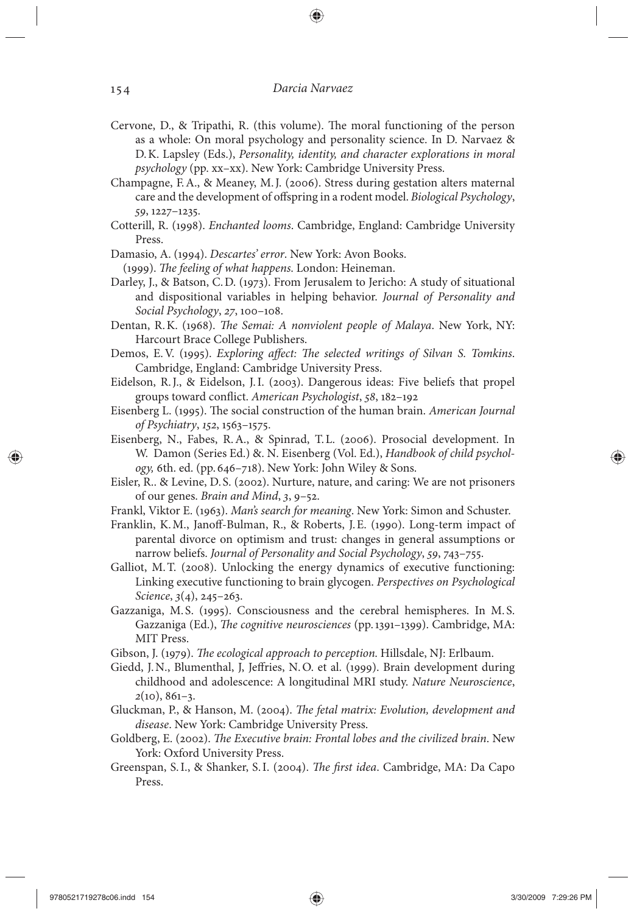- Cervone, D., & Tripathi, R. (this volume). The moral functioning of the person as a whole: On moral psychology and personality science. In D. Narvaez & D. K. Lapsley (Eds.), *Personality, identity, and character explorations in moral*  psychology (pp. xx-xx). New York: Cambridge University Press.
- Champagne, F. A., & Meaney, M. J. (2006). Stress during gestation alters maternal care and the development of offspring in a rodent model. *Biological Psychology*, *59* , 1227 –1235.
- Cotterill, R. (1998). *Enchanted looms*. Cambridge, England: Cambridge University Press.
- Damasio, A. (1994). *Descartes' error*. New York: Avon Books.
- (1999). *The feeling of what happens*. London: Heineman.
- Darley, J., & Batson, C.D. (1973). From Jerusalem to Jericho: A study of situational and dispositional variables in helping behavior . *Journal of Personality and Social Psychology* , *27* , 100 –108.
- Dentan, R. K. (1968). *The Semai: A nonviolent people of Malaya*. New York, NY: Harcourt Brace College Publishers.
- Demos, E.V. (1995). *Exploring affect: The selected writings of Silvan S. Tomkins*. Cambridge, England: Cambridge University Press.
- Eidelson, R.J., & Eidelson, J.I. (2003). Dangerous ideas: Five beliefs that propel groups toward conflict. American Psychologist, 58, 182-192
- Eisenberg L. (1995). The social construction of the human brain. *American Journal of Psychiatry* , *152* , 1563 –1575.
- Eisenberg, N., Fabes, R.A., & Spinrad, T.L. (2006). Prosocial development. In W. Damon (Series Ed.) &. N. Eisenberg (Vol. Ed.), *Handbook of child psychology*, 6th. ed. (pp. 646–718). New York: John Wiley & Sons.
- Eisler, R.. & Levine, D.S. (2002). Nurture, nature, and caring: We are not prisoners of our genes. *Brain and Mind*, 3, 9-52.
- Frankl, Viktor E. (1963). *Man's search for meaning*. New York: Simon and Schuster.
- Franklin, K.M., Janoff-Bulman, R., & Roberts, J.E. (1990). Long-term impact of parental divorce on optimism and trust: changes in general assumptions or narrow beliefs . *Journal of Personality and Social Psychology* , *59* , 743 –755.
- Galliot, M.T. (2008). Unlocking the energy dynamics of executive functioning: Linking executive functioning to brain glycogen . *Perspectives on Psychological Science*, *3*(4), 245–263.
- Gazzaniga, M.S. (1995). Consciousness and the cerebral hemispheres. In M.S. Gazzaniga (Ed.), *The cognitive neurosciences* (pp. 1391-1399). Cambridge, MA: MIT Press.
- Gibson, J. (1979). *The ecological approach to perception*. Hillsdale, NJ: Erlbaum.
- Giedd, J.N., Blumenthal, J, Jeffries, N.O. et al. (1999). Brain development during childhood and adolescence: A longitudinal MRI study . *Nature Neuroscience* ,  $2(10), 861 - 3.$
- Gluckman, P., & Hanson, M. (2004). *The fetal matrix: Evolution, development and disease*. New York: Cambridge University Press.
- Goldberg, E. (2002). *The Executive brain: Frontal lobes and the civilized brain*. New York: Oxford University Press.
- Greenspan, S.I., & Shanker, S.I. (2004). *The first idea*. Cambridge, MA: Da Capo Press.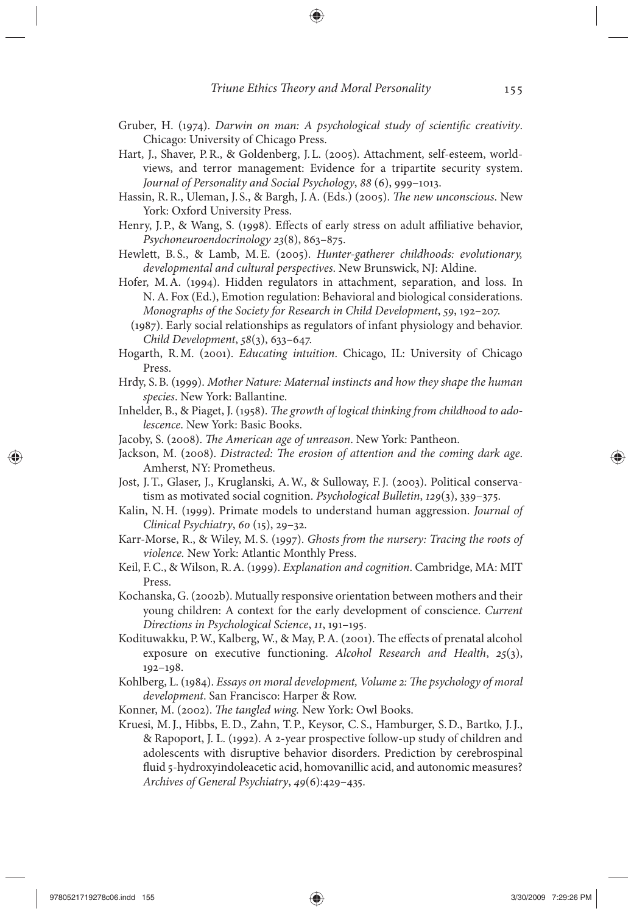- Gruber, H. (1974). *Darwin on man: A psychological study of scientific creativity*. Chicago: University of Chicago Press.
- Hart, J., Shaver, P.R., & Goldenberg, J.L. (2005). Attachment, self-esteem, worldviews, and terror management: Evidence for a tripartite security system . *Journal of Personality and Social Psychology* , *88* (6), 999 –1013.
- Hassin, R. R., Uleman, J. S., & Bargh, J. A. (Eds.) (2005). *The new unconscious*. New York: Oxford University Press.
- Henry, J.P., & Wang, S. (1998). Effects of early stress on adult affiliative behavior, *Psychoneuroendocrinology 23* (8), 863 –875.
- Hewlett, B.S., & Lamb, M.E. (2005). *Hunter-gatherer childhoods: evolutionary*, *developmental and cultural perspectives*. New Brunswick, NJ: Aldine.
- Hofer, M.A. (1994). Hidden regulators in attachment, separation, and loss. In N. A. Fox (Ed.), Emotion regulation: Behavioral and biological considerations . *Monographs of the Society for Research in Child Development* , *59* , 192 –207.
	- (1987). Early social relationships as regulators of infant physiology and behavior. *Child Development* , *58* (3), 633 –647.
- Hogarth, R.M. (2001). *Educating intuition*. Chicago, IL: University of Chicago Press.
- Hrdy , S. B. ( 1999 ). *Mother Nature: Maternal instincts and how they shape the human*  species. New York: Ballantine.
- Inhelder, B., & Piaget, J. (1958). *The growth of logical thinking from childhood to ado*lescence. New York: Basic Books.
- Jacoby, S. (2008). *The American age of unreason*. New York: Pantheon.
- Jackson, M. (2008). *Distracted: The erosion of attention and the coming dark age.* Amherst, NY: Prometheus.
- Jost, J. T., Glaser, J., Kruglanski, A. W., & Sulloway, F. J. (2003). Political conservatism as motivated social cognition. *Psychological Bulletin*, *129*(3), 339–375.
- Kalin, N.H. (1999). Primate models to understand human aggression. *Journal of Clinical Psychiatry*, *60* (15), 29-32.
- Karr-Morse, R., & Wiley, M.S. (1997). *Ghosts from the nursery: Tracing the roots of violence*. New York: Atlantic Monthly Press.
- Keil, F. C., & Wilson, R. A. (1999). *Explanation and cognition*. Cambridge, MA: MIT Press.
- Kochanska, G. (2002b). Mutually responsive orientation between mothers and their young children: A context for the early development of conscience . *Current Directions in Psychological Science* , *11* , 191 –195.
- Kodituwakku, P. W., Kalberg, W., & May, P. A. (2001). The effects of prenatal alcohol exposure on executive functioning. Alcohol Research and Health, 25(3),  $192 - 198.$
- Kohlberg, L. (1984). *Essays on moral development, Volume 2: The psychology of moral* development. San Francisco: Harper & Row.
- Konner, M. (2002). *The tangled wing*. New York: Owl Books.
- Kruesi, M. J., Hibbs, E. D., Zahn, T. P., Keysor, C. S., Hamburger, S. D., Bartko, J. J., & Rapoport, J. L. ( 1992 ). A 2-year prospective follow-up study of children and adolescents with disruptive behavior disorders. Prediction by cerebrospinal fluid 5-hydroxyindoleacetic acid, homovanillic acid, and autonomic measures? *Archives of General Psychiatry* , *49* (6): 429 –435.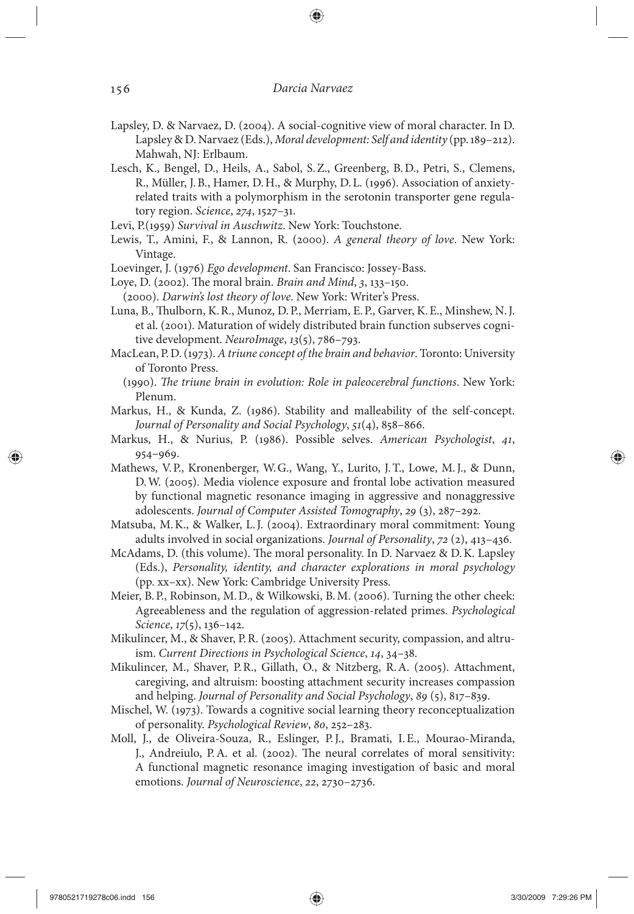- Lapsley, D. & Narvaez, D. (2004). A social-cognitive view of moral character. In D. Lapsley & D. Narvaez (Eds.), *Moral development: Self and identity* (pp. 189–212) . Mahwah, NJ: Erlbaum.
- Lesch, K., Bengel, D., Heils, A., Sabol, S.Z., Greenberg, B.D., Petri, S., Clemens, R., Müller, J. B., Hamer, D. H., & Murphy, D. L. (1996). Association of anxiety related traits with a polymorphism in the serotonin transporter gene regulatory region . *Science* , *274* , 1527 –31.
- Levi, P. (1959) Survival in Auschwitz. New York: Touchstone.
- Lewis, T., Amini, F., & Lannon, R. (2000). *A general theory of love*. New York: Vintage.
- Loevinger, J. (1976) *Ego development*. San Francisco: Jossey-Bass.
- Loye, D. (2002). The moral brain. *Brain and Mind*, 3, 133-150.
	- (2000). *Darwin's lost theory of love*. New York: Writer's Press.
- Luna, B., Thulborn, K. R., Munoz, D. P., Merriam, E. P., Garver, K. E., Minshew, N. J. et al. (2001). Maturation of widely distributed brain function subserves cognitive development. *NeuroImage*, 13(5), 786-793.
- MacLean, P.D. (1973). A triune concept of the brain and behavior. Toronto: University of Toronto Press.
	- (1990). *The triune brain in evolution: Role in paleocerebral functions*. New York: Plenum.
- Markus, H., & Kunda, Z. (1986). Stability and malleability of the self-concept. *Journal of Personality and Social Psychology* , *51* (4), 858 –866.
- Markus, H., & Nurius, P. (1986). Possible selves. American Psychologist, 41, 954 –969.
- Mathews, V.P., Kronenberger, W.G., Wang, Y., Lurito, J.T., Lowe, M.J., & Dunn, D. W. (2005). Media violence exposure and frontal lobe activation measured by functional magnetic resonance imaging in aggressive and nonaggressive adolescents . *Journal of Computer Assisted Tomography* , *29* (3), 287 –292.
- Matsuba, M. K., & Walker, L. J. (2004). Extraordinary moral commitment: Young adults involved in social organizations. *Journal of Personality*, 72 (2), 413-436.
- McAdams, D. (this volume). The moral personality. In D. Narvaez & D. K. Lapsley (Eds.), *Personality, identity, and character explorations in moral psychology* (pp. xx–xx). New York: Cambridge University Press.
- Meier, B. P., Robinson, M. D., & Wilkowski, B. M. (2006). Turning the other cheek: Agreeableness and the regulation of aggression-related primes . *Psychological Science*,  $17(5)$ ,  $136-142$ .
- Mikulincer, M., & Shaver, P.R. (2005). Attachment security, compassion, and altruism. Current Directions in Psychological Science, 14, 34-38.
- Mikulincer, M., Shaver, P.R., Gillath, O., & Nitzberg, R.A. (2005). Attachment, caregiving, and altruism: boosting attachment security increases compassion and helping. *Journal of Personality and Social Psychology*, 89 (5), 817-839.
- Mischel, W. (1973). Towards a cognitive social learning theory reconceptualization of personality . *Psychological Review* , *80* , 252 –283.
- Moll, J., de Oliveira-Souza, R., Eslinger, P.J., Bramati, I.E., Mourao-Miranda, J., Andreiulo, P.A. et al. (2002). The neural correlates of moral sensitivity: A functional magnetic resonance imaging investigation of basic and moral emotions. *Journal of Neuroscience*, 22, 2730-2736.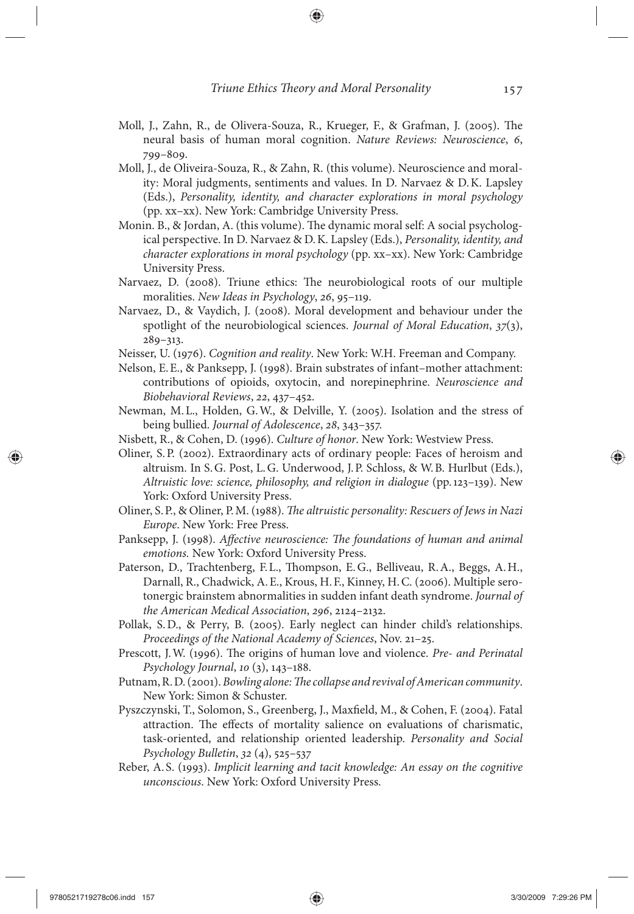- Moll, J., Zahn, R., de Olivera-Souza, R., Krueger, F., & Grafman, J. (2005). The neural basis of human moral cognition. *Nature Reviews: Neuroscience*, 6, 799 –809.
- Moll, J., de Oliveira-Souza, R., & Zahn, R. (this volume). Neuroscience and morality: Moral judgments, sentiments and values. In D. Narvaez & D. K. Lapsley (Eds.), *Personality, identity, and character explorations in moral psychology* (pp. xx-xx). New York: Cambridge University Press.
- Monin. B., & Jordan, A. (this volume). The dynamic moral self: A social psychological perspective. In D. Narvaez & D. K. Lapsley (Eds.), *Personality, identity, and character explorations in moral psychology* (pp. xx–xx) . New York : Cambridge University Press .
- Narvaez, D. (2008). Triune ethics: The neurobiological roots of our multiple moralities. *New Ideas in Psychology*, 26, 95-119.
- Narvaez, D., & Vaydich, J. (2008). Moral development and behaviour under the spotlight of the neurobiological sciences. *Journal of Moral Education*,  $37(3)$ ,  $289 - 313.$
- Neisser, U. (1976). *Cognition and reality*. New York: W.H. Freeman and Company.
- Nelson, E.E., & Panksepp, J. (1998). Brain substrates of infant–mother attachment: contributions of opioids, oxytocin, and norepinephrine . *Neuroscience and Biobehavioral Reviews* , *22* , 437 –452.
- Newman, M.L., Holden, G.W., & Delville, Y. (2005). Isolation and the stress of being bullied . *Journal of Adolescence* , *28* , 343 –357.
- Nisbett, R., & Cohen, D. (1996). *Culture of honor*. New York: Westview Press.
- Oliner, S.P. (2002). Extraordinary acts of ordinary people: Faces of heroism and altruism. In S. G. Post, L. G. Underwood, J. P. Schloss, & W. B. Hurlbut (Eds.), *Altruistic love: science, philosophy, and religion in dialogue* (pp. 123–139). New York: Oxford University Press.
- Oliner, S.P., & Oliner, P.M. (1988). *The altruistic personality: Rescuers of Jews in Nazi Europe*. New York: Free Press.
- Panksepp, J. (1998). *Affective neuroscience: The foundations of human and animal* emotions. New York: Oxford University Press.
- Paterson, D., Trachtenberg, F.L., Thompson, E.G., Belliveau, R.A., Beggs, A.H., Darnall, R., Chadwick, A. E., Krous, H. F., Kinney, H. C. (2006). Multiple serotonergic brainstem abnormalities in sudden infant death syndrome . *Journal of the American Medical Association* , *296* , 2124 –2132.
- Pollak, S.D., & Perry, B. (2005). Early neglect can hinder child's relationships. *Proceedings of the National Academy of Sciences, Nov. 21-25.*
- Prescott, J.W. (1996). The origins of human love and violence. Pre- and Perinatal *Psychology Journal*, *10* (3), 143-188.
- Putnam, R. D. (2001). *Bowling alone: The collapse and revival of American community*. New York: Simon & Schuster.
- Pyszczynski, T., Solomon, S., Greenberg, J., Maxfield, M., & Cohen, F. (2004). Fatal attraction. The effects of mortality salience on evaluations of charismatic, task-oriented, and relationship oriented leadership . *Personality and Social Psychology Bulletin* , *32* (4), 525 –537
- Reber, A. S. (1993). *Implicit learning and tacit knowledge: An essay on the cognitive unconscious*. New York: Oxford University Press.